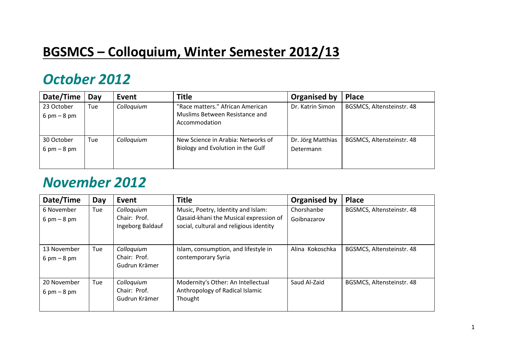### **BGSMCS – Colloquium, Winter Semester 2012/13**

#### *October 2012*

| Date/Time                                   | Day | Event      | <b>Title</b>                                                       | Organised by      | <b>Place</b>              |
|---------------------------------------------|-----|------------|--------------------------------------------------------------------|-------------------|---------------------------|
| 23 October<br>$6 \text{ pm} - 8 \text{ pm}$ | Tue | Colloquium | "Race matters." African American<br>Muslims Between Resistance and | Dr. Katrin Simon  | BGSMCS, Altensteinstr. 48 |
|                                             |     |            | Accommodation                                                      |                   |                           |
| 30 October                                  | Tue | Colloquium | New Science in Arabia: Networks of                                 | Dr. Jörg Matthias | BGSMCS, Altensteinstr. 48 |
| $6 \text{ pm} - 8 \text{ pm}$               |     |            | Biology and Evolution in the Gulf                                  | Determann         |                           |
|                                             |     |            |                                                                    |                   |                           |

#### *November 2012*

| Date/Time                                    | Day | Event                                          | <b>Title</b>                                                                                                            | <b>Organised by</b>       | <b>Place</b>              |
|----------------------------------------------|-----|------------------------------------------------|-------------------------------------------------------------------------------------------------------------------------|---------------------------|---------------------------|
| 6 November<br>$6 \text{ pm} - 8 \text{ pm}$  | Tue | Colloquium<br>Chair: Prof.<br>Ingeborg Baldauf | Music, Poetry, Identity and Islam:<br>Qasaid-khani the Musical expression of<br>social, cultural and religious identity | Chorshanbe<br>Goibnazarov | BGSMCS, Altensteinstr. 48 |
| 13 November<br>$6 \text{ pm} - 8 \text{ pm}$ | Tue | Colloquium<br>Chair: Prof.<br>Gudrun Krämer    | Islam, consumption, and lifestyle in<br>contemporary Syria                                                              | Alina Kokoschka           | BGSMCS, Altensteinstr. 48 |
| 20 November<br>$6 \text{ pm} - 8 \text{ pm}$ | Tue | Colloquium<br>Chair: Prof.<br>Gudrun Krämer    | Modernity's Other: An Intellectual<br>Anthropology of Radical Islamic<br>Thought                                        | Saud Al-Zaid              | BGSMCS, Altensteinstr. 48 |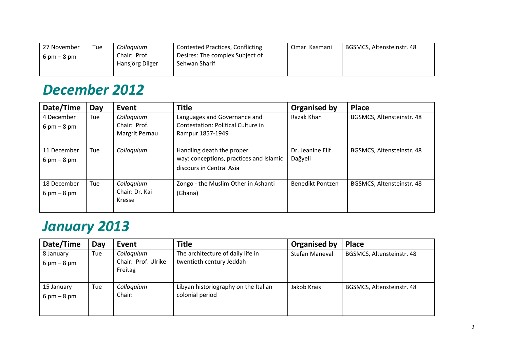| 27 November                   | Tue | Colloquium      | <b>Contested Practices, Conflicting</b> | Omar Kasmani | BGSMCS, Altensteinstr. 48 |
|-------------------------------|-----|-----------------|-----------------------------------------|--------------|---------------------------|
| $6 \text{ pm} - 8 \text{ pm}$ |     | Chair: Prof.    | Desires: The complex Subject of         |              |                           |
|                               |     | Hansjörg Dilger | Sehwan Sharif                           |              |                           |
|                               |     |                 |                                         |              |                           |

## *December 2012*

| Date/Time                                    | Day | Event                                        | <b>Title</b>                                                                                     | <b>Organised by</b>         | <b>Place</b>              |
|----------------------------------------------|-----|----------------------------------------------|--------------------------------------------------------------------------------------------------|-----------------------------|---------------------------|
| 4 December<br>$6 \text{ pm} - 8 \text{ pm}$  | Tue | Colloquium<br>Chair: Prof.<br>Margrit Pernau | Languages and Governance and<br>Contestation: Political Culture in<br>Rampur 1857-1949           | Razak Khan                  | BGSMCS, Altensteinstr. 48 |
| 11 December<br>$6 \text{ pm} - 8 \text{ pm}$ | Tue | Colloquium                                   | Handling death the proper<br>way: conceptions, practices and Islamic<br>discours in Central Asia | Dr. Jeanine Elif<br>Dağyeli | BGSMCS, Altensteinstr. 48 |
| 18 December<br>$6 \text{ pm} - 8 \text{ pm}$ | Tue | Colloquium<br>Chair: Dr. Kai<br>Kresse       | Zongo - the Muslim Other in Ashanti<br>(Ghana)                                                   | <b>Benedikt Pontzen</b>     | BGSMCS, Altensteinstr. 48 |

## *January 2013*

| Date/Time                                   | Day | Event                                        | <b>Title</b>                                                  | Organised by   | <b>Place</b>              |
|---------------------------------------------|-----|----------------------------------------------|---------------------------------------------------------------|----------------|---------------------------|
| 8 January<br>$6 \text{ pm} - 8 \text{ pm}$  | Tue | Colloquium<br>Chair: Prof. Ulrike<br>Freitag | The architecture of daily life in<br>twentieth century Jeddah | Stefan Maneval | BGSMCS, Altensteinstr. 48 |
| 15 January<br>$6 \text{ pm} - 8 \text{ pm}$ | Tue | Colloquium<br>Chair:                         | Libyan historiography on the Italian<br>colonial period       | Jakob Krais    | BGSMCS, Altensteinstr. 48 |